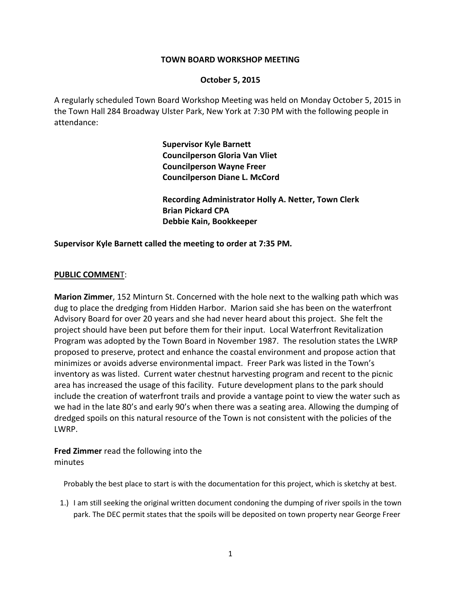#### **TOWN BOARD WORKSHOP MEETING**

#### **October 5, 2015**

A regularly scheduled Town Board Workshop Meeting was held on Monday October 5, 2015 in the Town Hall 284 Broadway Ulster Park, New York at 7:30 PM with the following people in attendance:

> **Supervisor Kyle Barnett Councilperson Gloria Van Vliet Councilperson Wayne Freer Councilperson Diane L. McCord**

**Recording Administrator Holly A. Netter, Town Clerk Brian Pickard CPA Debbie Kain, Bookkeeper**

**Supervisor Kyle Barnett called the meeting to order at 7:35 PM.** 

#### **PUBLIC COMMEN**T:

**Marion Zimmer**, 152 Minturn St. Concerned with the hole next to the walking path which was dug to place the dredging from Hidden Harbor. Marion said she has been on the waterfront Advisory Board for over 20 years and she had never heard about this project. She felt the project should have been put before them for their input. Local Waterfront Revitalization Program was adopted by the Town Board in November 1987. The resolution states the LWRP proposed to preserve, protect and enhance the coastal environment and propose action that minimizes or avoids adverse environmental impact. Freer Park was listed in the Town's inventory as was listed. Current water chestnut harvesting program and recent to the picnic area has increased the usage of this facility. Future development plans to the park should include the creation of waterfront trails and provide a vantage point to view the water such as we had in the late 80's and early 90's when there was a seating area. Allowing the dumping of dredged spoils on this natural resource of the Town is not consistent with the policies of the LWRP.

**Fred Zimmer** read the following into the minutes

Probably the best place to start is with the documentation for this project, which is sketchy at best.

1.) I am still seeking the original written document condoning the dumping of river spoils in the town park. The DEC permit states that the spoils will be deposited on town property near George Freer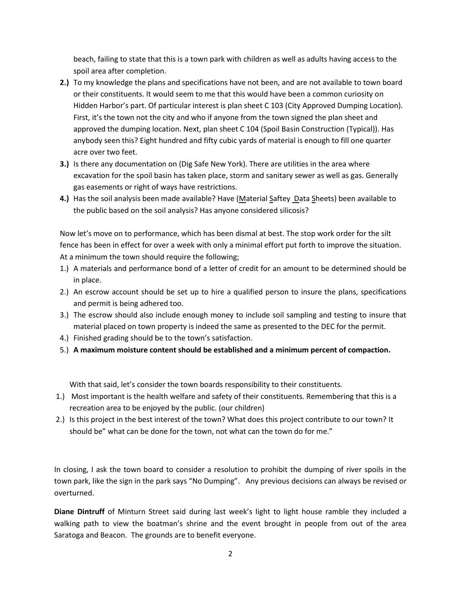beach, failing to state that this is a town park with children as well as adults having access to the spoil area after completion.

- **2.)** To my knowledge the plans and specifications have not been, and are not available to town board or their constituents. It would seem to me that this would have been a common curiosity on Hidden Harbor's part. Of particular interest is plan sheet C 103 (City Approved Dumping Location). First, it's the town not the city and who if anyone from the town signed the plan sheet and approved the dumping location. Next, plan sheet C 104 (Spoil Basin Construction (Typical)). Has anybody seen this? Eight hundred and fifty cubic yards of material is enough to fill one quarter acre over two feet.
- **3.)** Is there any documentation on (Dig Safe New York). There are utilities in the area where excavation for the spoil basin has taken place, storm and sanitary sewer as well as gas. Generally gas easements or right of ways have restrictions.
- 4.) Has the soil analysis been made available? Have (Material Saftey Data Sheets) been available to the public based on the soil analysis? Has anyone considered silicosis?

Now let's move on to performance, which has been dismal at best. The stop work order for the silt fence has been in effect for over a week with only a minimal effort put forth to improve the situation. At a minimum the town should require the following;

- 1.) A materials and performance bond of a letter of credit for an amount to be determined should be in place.
- 2.) An escrow account should be set up to hire a qualified person to insure the plans, specifications and permit is being adhered too.
- 3.) The escrow should also include enough money to include soil sampling and testing to insure that material placed on town property is indeed the same as presented to the DEC for the permit.
- 4.) Finished grading should be to the town's satisfaction.
- 5.) **A maximum moisture content should be established and a minimum percent of compaction.**

With that said, let's consider the town boards responsibility to their constituents.

- 1.) Most important is the health welfare and safety of their constituents. Remembering that this is a recreation area to be enjoyed by the public. (our children)
- 2.) Is this project in the best interest of the town? What does this project contribute to our town? It should be" what can be done for the town, not what can the town do for me."

In closing, I ask the town board to consider a resolution to prohibit the dumping of river spoils in the town park, like the sign in the park says "No Dumping". Any previous decisions can always be revised or overturned.

**Diane Dintruff** of Minturn Street said during last week's light to light house ramble they included a walking path to view the boatman's shrine and the event brought in people from out of the area Saratoga and Beacon. The grounds are to benefit everyone.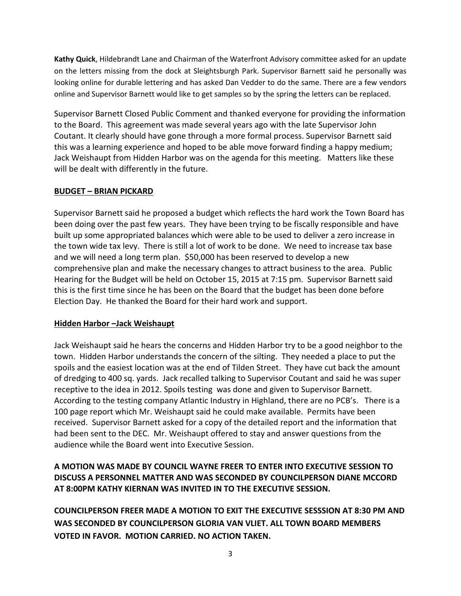**Kathy Quick**, Hildebrandt Lane and Chairman of the Waterfront Advisory committee asked for an update on the letters missing from the dock at Sleightsburgh Park. Supervisor Barnett said he personally was looking online for durable lettering and has asked Dan Vedder to do the same. There are a few vendors online and Supervisor Barnett would like to get samples so by the spring the letters can be replaced.

Supervisor Barnett Closed Public Comment and thanked everyone for providing the information to the Board. This agreement was made several years ago with the late Supervisor John Coutant. It clearly should have gone through a more formal process. Supervisor Barnett said this was a learning experience and hoped to be able move forward finding a happy medium; Jack Weishaupt from Hidden Harbor was on the agenda for this meeting. Matters like these will be dealt with differently in the future.

# **BUDGET – BRIAN PICKARD**

Supervisor Barnett said he proposed a budget which reflects the hard work the Town Board has been doing over the past few years. They have been trying to be fiscally responsible and have built up some appropriated balances which were able to be used to deliver a zero increase in the town wide tax levy. There is still a lot of work to be done. We need to increase tax base and we will need a long term plan. \$50,000 has been reserved to develop a new comprehensive plan and make the necessary changes to attract business to the area. Public Hearing for the Budget will be held on October 15, 2015 at 7:15 pm. Supervisor Barnett said this is the first time since he has been on the Board that the budget has been done before Election Day. He thanked the Board for their hard work and support.

# **Hidden Harbor –Jack Weishaupt**

Jack Weishaupt said he hears the concerns and Hidden Harbor try to be a good neighbor to the town. Hidden Harbor understands the concern of the silting. They needed a place to put the spoils and the easiest location was at the end of Tilden Street. They have cut back the amount of dredging to 400 sq. yards. Jack recalled talking to Supervisor Coutant and said he was super receptive to the idea in 2012. Spoils testing was done and given to Supervisor Barnett. According to the testing company Atlantic Industry in Highland, there are no PCB's. There is a 100 page report which Mr. Weishaupt said he could make available. Permits have been received. Supervisor Barnett asked for a copy of the detailed report and the information that had been sent to the DEC. Mr. Weishaupt offered to stay and answer questions from the audience while the Board went into Executive Session.

# **A MOTION WAS MADE BY COUNCIL WAYNE FREER TO ENTER INTO EXECUTIVE SESSION TO DISCUSS A PERSONNEL MATTER AND WAS SECONDED BY COUNCILPERSON DIANE MCCORD AT 8:00PM KATHY KIERNAN WAS INVITED IN TO THE EXECUTIVE SESSION.**

**COUNCILPERSON FREER MADE A MOTION TO EXIT THE EXECUTIVE SESSSION AT 8:30 PM AND WAS SECONDED BY COUNCILPERSON GLORIA VAN VLIET. ALL TOWN BOARD MEMBERS VOTED IN FAVOR. MOTION CARRIED. NO ACTION TAKEN.**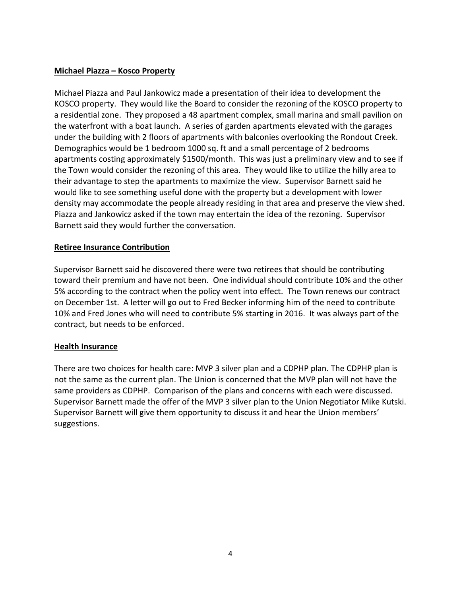# **Michael Piazza – Kosco Property**

Michael Piazza and Paul Jankowicz made a presentation of their idea to development the KOSCO property. They would like the Board to consider the rezoning of the KOSCO property to a residential zone. They proposed a 48 apartment complex, small marina and small pavilion on the waterfront with a boat launch. A series of garden apartments elevated with the garages under the building with 2 floors of apartments with balconies overlooking the Rondout Creek. Demographics would be 1 bedroom 1000 sq. ft and a small percentage of 2 bedrooms apartments costing approximately \$1500/month. This was just a preliminary view and to see if the Town would consider the rezoning of this area. They would like to utilize the hilly area to their advantage to step the apartments to maximize the view. Supervisor Barnett said he would like to see something useful done with the property but a development with lower density may accommodate the people already residing in that area and preserve the view shed. Piazza and Jankowicz asked if the town may entertain the idea of the rezoning. Supervisor Barnett said they would further the conversation.

# **Retiree Insurance Contribution**

Supervisor Barnett said he discovered there were two retirees that should be contributing toward their premium and have not been. One individual should contribute 10% and the other 5% according to the contract when the policy went into effect. The Town renews our contract on December 1st. A letter will go out to Fred Becker informing him of the need to contribute 10% and Fred Jones who will need to contribute 5% starting in 2016. It was always part of the contract, but needs to be enforced.

## **Health Insurance**

There are two choices for health care: MVP 3 silver plan and a CDPHP plan. The CDPHP plan is not the same as the current plan. The Union is concerned that the MVP plan will not have the same providers as CDPHP. Comparison of the plans and concerns with each were discussed. Supervisor Barnett made the offer of the MVP 3 silver plan to the Union Negotiator Mike Kutski. Supervisor Barnett will give them opportunity to discuss it and hear the Union members' suggestions.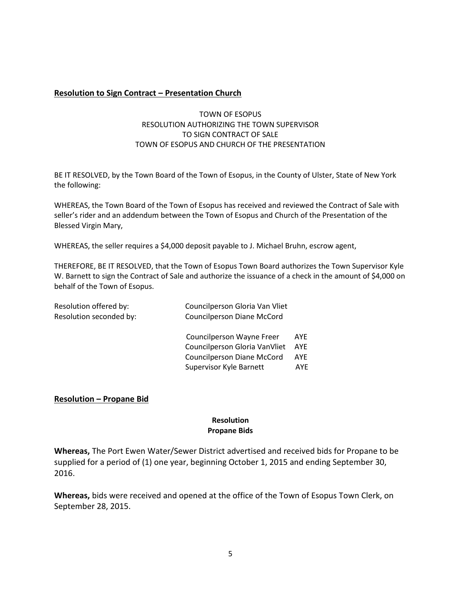## **Resolution to Sign Contract – Presentation Church**

## TOWN OF ESOPUS RESOLUTION AUTHORIZING THE TOWN SUPERVISOR TO SIGN CONTRACT OF SALE TOWN OF ESOPUS AND CHURCH OF THE PRESENTATION

BE IT RESOLVED, by the Town Board of the Town of Esopus, in the County of Ulster, State of New York the following:

WHEREAS, the Town Board of the Town of Esopus has received and reviewed the Contract of Sale with seller's rider and an addendum between the Town of Esopus and Church of the Presentation of the Blessed Virgin Mary,

WHEREAS, the seller requires a \$4,000 deposit payable to J. Michael Bruhn, escrow agent,

THEREFORE, BE IT RESOLVED, that the Town of Esopus Town Board authorizes the Town Supervisor Kyle W. Barnett to sign the Contract of Sale and authorize the issuance of a check in the amount of \$4,000 on behalf of the Town of Esopus.

| Resolution offered by:<br>Resolution seconded by: | Councilperson Gloria Van Vliet<br><b>Councilperson Diane McCord</b> |            |
|---------------------------------------------------|---------------------------------------------------------------------|------------|
|                                                   | Councilperson Wayne Freer                                           | AYE        |
|                                                   | Councilperson Gloria VanVliet                                       | <b>AYE</b> |
|                                                   | Councilperson Diane McCord                                          | AYE        |
|                                                   | Supervisor Kyle Barnett                                             | AYE        |

#### **Resolution – Propane Bid**

#### **Resolution Propane Bids**

**Whereas,** The Port Ewen Water/Sewer District advertised and received bids for Propane to be supplied for a period of (1) one year, beginning October 1, 2015 and ending September 30, 2016.

**Whereas,** bids were received and opened at the office of the Town of Esopus Town Clerk, on September 28, 2015.